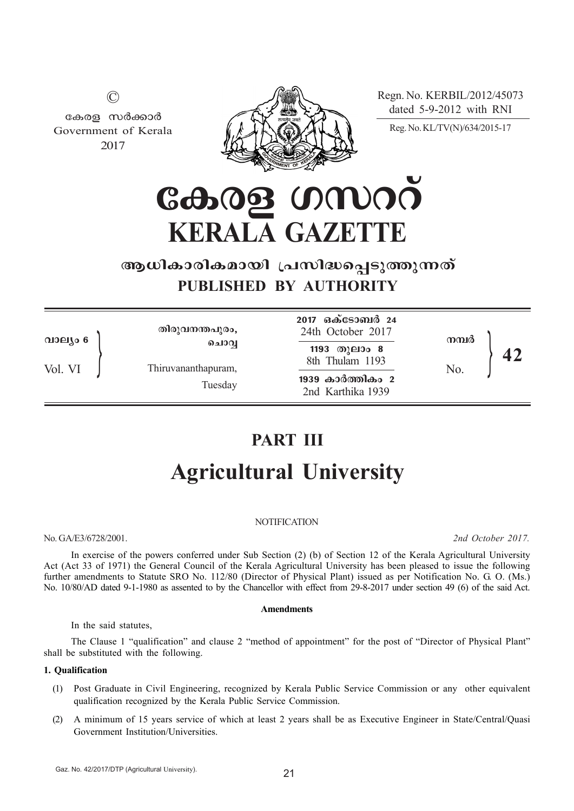Regn. No. KERBIL/2012/45073 dated 5-9-2012 with RNI



കേരള സർക്കാർ Government of Kerala 2017

©

Reg. No. KL/TV(N)/634/2015-17

<u>കേരള ഗസററ്</u> **KERALA GAZETTE**

## ആധികാരികമായി പ്രസിദ്ധപെടുത്തുന്നത് **PUBLISHED BY AUTHORITY**

| 2017 ഒക്ടോബർ 24<br>തിരുവനന്തപുരം,<br>24th October 2017<br>നമ്പർ<br>വാല്യം 6<br>ചൊവ്വ<br>1193 തുലാം 8<br>8th Thulam 1193<br>Vol. VI<br>Thiruvananthapuram,<br>No.<br>1939 കാർത്തികം 2<br>Tuesday<br>2nd Karthika 1939 |  |  |
|----------------------------------------------------------------------------------------------------------------------------------------------------------------------------------------------------------------------|--|--|
|----------------------------------------------------------------------------------------------------------------------------------------------------------------------------------------------------------------------|--|--|

# **PART III Agricultural University**

#### **NOTIFICATION**

No. GA/E3/6728/2001. *2nd October 2017.*

In exercise of the powers conferred under Sub Section (2) (b) of Section 12 of the Kerala Agricultural University Act (Act 33 of 1971) the General Council of the Kerala Agricultural University has been pleased to issue the following further amendments to Statute SRO No. 112/80 (Director of Physical Plant) issued as per Notification No. G. O. (Ms.) No.  $10/80/AD$  dated 9-1-1980 as assented to by the Chancellor with effect from 29-8-2017 under section 49 (6) of the said Act.

#### **Amendments**

In the said statutes,

The Clause 1 "qualification" and clause 2 "method of appointment" for the post of "Director of Physical Plant" shall be substituted with the following.

#### **1. Qualification**

- (1) Post Graduate in Civil Engineering, recognized by Kerala Public Service Commission or any other equivalent qualification recognized by the Kerala Public Service Commission.
- (2) A minimum of 15 years service of which at least 2 years shall be as Executive Engineer in State/Central/Quasi Government Institution/Universities.